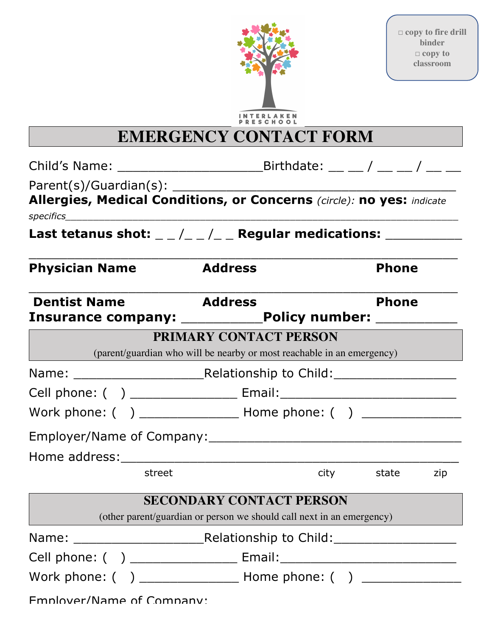

**□ copy to fire drill binder □ copy to classroom**

l **EMERGENCY CONTACT FORM**

|                          | Allergies, Medical Conditions, or Concerns (circle): no yes: indicate                            |  |                |  |
|--------------------------|--------------------------------------------------------------------------------------------------|--|----------------|--|
|                          | Last tetanus shot: $\angle$ $\angle$ $\angle$ $\angle$ $\angle$ Regular medications: $\angle$    |  |                |  |
| <b>Physician Name</b>    | <b>Example 2</b> Address                                                                         |  | <b>Phone</b>   |  |
| <b>Dentist Name</b>      | <b>Example 2 Address</b>                                                                         |  | <b>Phone</b>   |  |
|                          | PRIMARY CONTACT PERSON<br>(parent/guardian who will be nearby or most reachable in an emergency) |  |                |  |
|                          |                                                                                                  |  |                |  |
|                          |                                                                                                  |  |                |  |
|                          |                                                                                                  |  |                |  |
|                          |                                                                                                  |  |                |  |
|                          |                                                                                                  |  |                |  |
| street                   |                                                                                                  |  | city state zip |  |
|                          | <b>SECONDARY CONTACT PERSON</b>                                                                  |  |                |  |
|                          | (other parent/guardian or person we should call next in an emergency)                            |  |                |  |
|                          |                                                                                                  |  |                |  |
|                          |                                                                                                  |  |                |  |
|                          |                                                                                                  |  |                |  |
| Fmnlover/Name of Comnany |                                                                                                  |  |                |  |